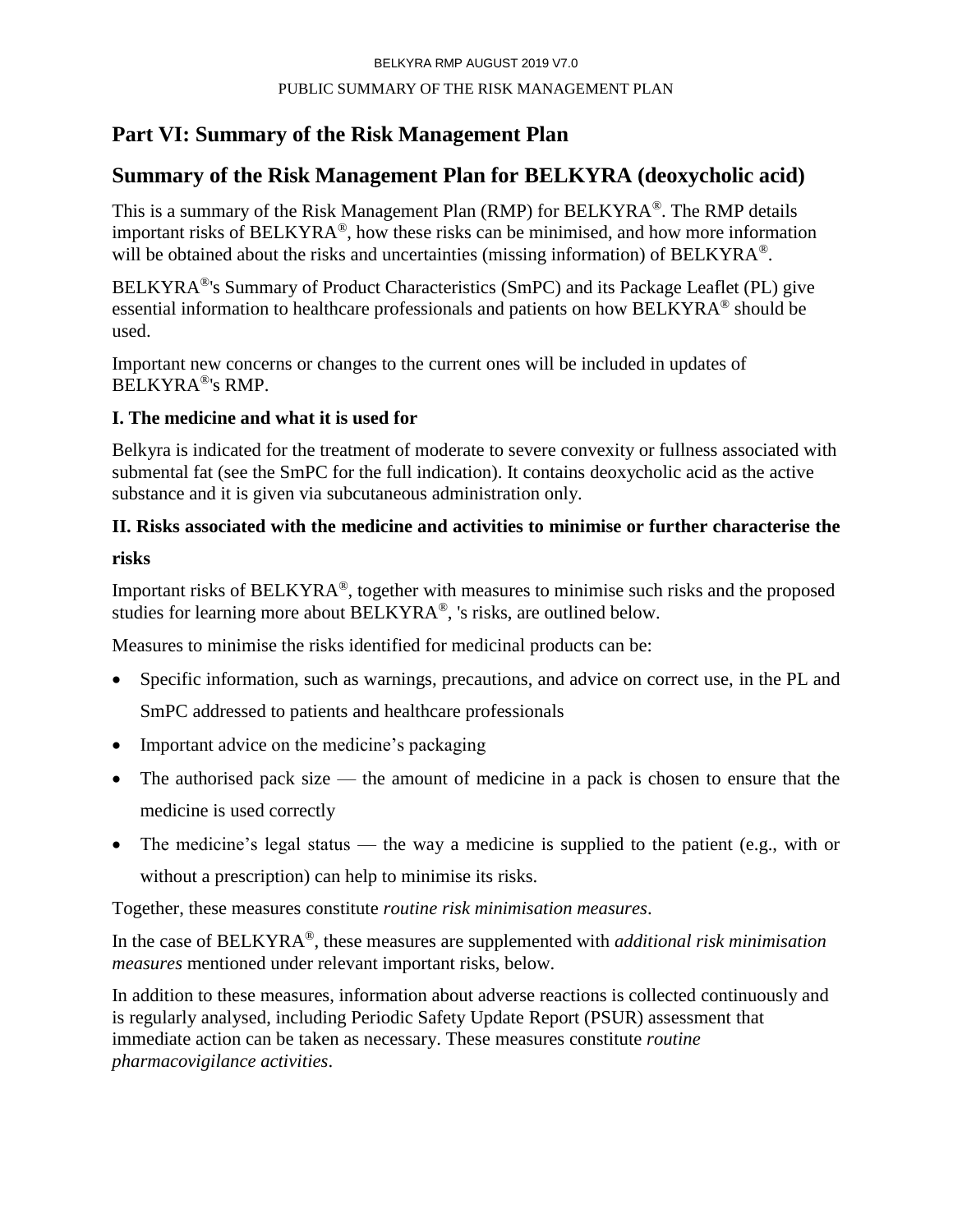# **Part VI: Summary of the Risk Management Plan**

# **Summary of the Risk Management Plan for BELKYRA (deoxycholic acid)**

This is a summary of the Risk Management Plan (RMP) for BELKYRA®. The RMP details important risks of BELKYRA®, how these risks can be minimised, and how more information will be obtained about the risks and uncertainties (missing information) of BELKYRA<sup>®</sup>.

BELKYRA®'s Summary of Product Characteristics (SmPC) and its Package Leaflet (PL) give essential information to healthcare professionals and patients on how BELKYRA® should be used.

Important new concerns or changes to the current ones will be included in updates of BELKYRA®'s RMP.

# **I. The medicine and what it is used for**

Belkyra is indicated for the treatment of moderate to severe convexity or fullness associated with submental fat (see the SmPC for the full indication). It contains deoxycholic acid as the active substance and it is given via subcutaneous administration only.

# **II. Risks associated with the medicine and activities to minimise or further characterise the**

# **risks**

Important risks of BELKYRA®, together with measures to minimise such risks and the proposed studies for learning more about BELKYRA®, 's risks, are outlined below.

Measures to minimise the risks identified for medicinal products can be:

- Specific information, such as warnings, precautions, and advice on correct use, in the PL and SmPC addressed to patients and healthcare professionals
- Important advice on the medicine's packaging
- The authorised pack size the amount of medicine in a pack is chosen to ensure that the medicine is used correctly
- The medicine's legal status the way a medicine is supplied to the patient (e.g., with or without a prescription) can help to minimise its risks.

Together, these measures constitute *routine risk minimisation measures*.

In the case of BELKYRA® , these measures are supplemented with *additional risk minimisation measures* mentioned under relevant important risks, below.

In addition to these measures, information about adverse reactions is collected continuously and is regularly analysed, including Periodic Safety Update Report (PSUR) assessment that immediate action can be taken as necessary. These measures constitute *routine pharmacovigilance activities*.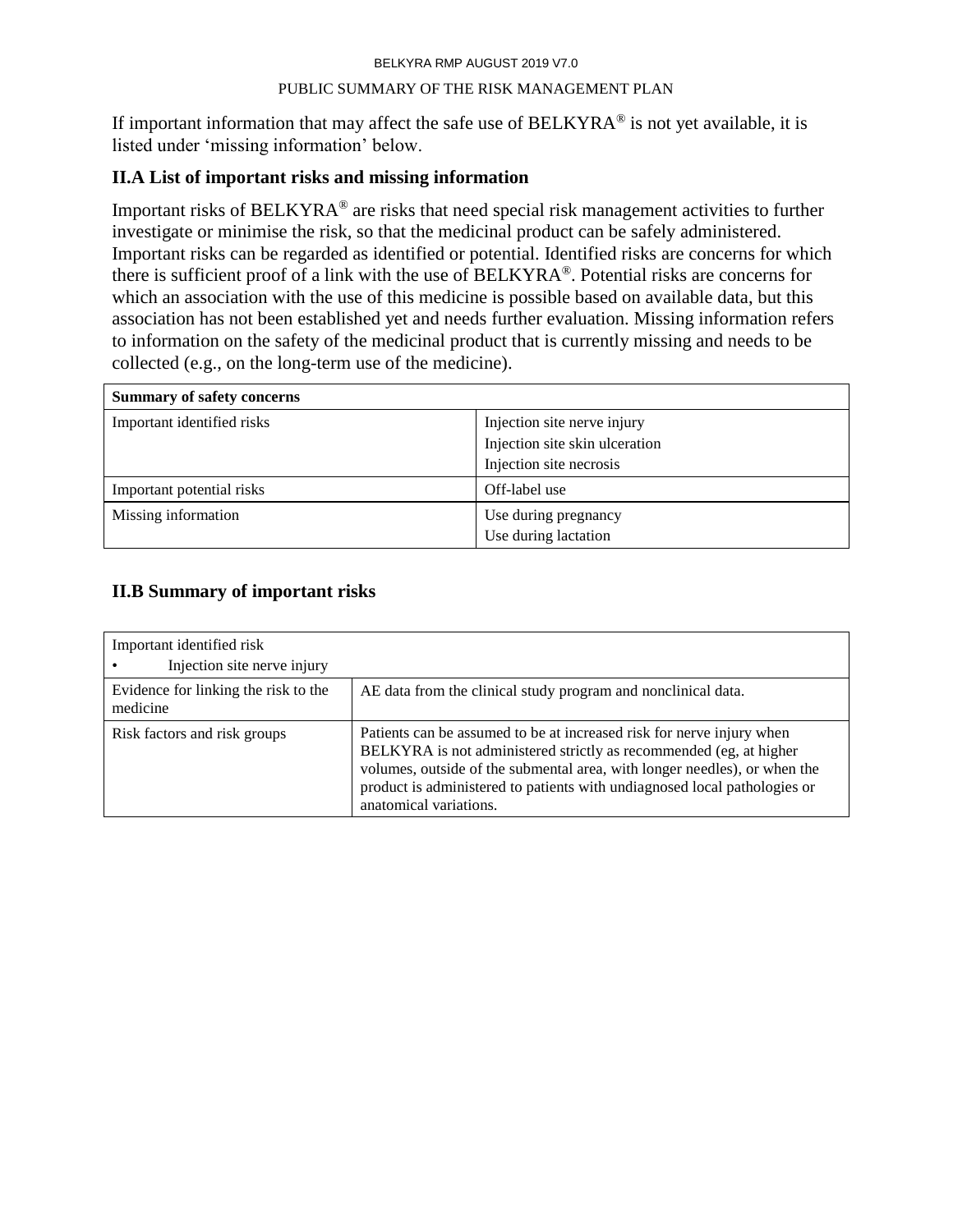#### PUBLIC SUMMARY OF THE RISK MANAGEMENT PLAN

If important information that may affect the safe use of BELKYRA<sup>®</sup> is not yet available, it is listed under 'missing information' below.

# **II.A List of important risks and missing information**

Important risks of BELKYRA® are risks that need special risk management activities to further investigate or minimise the risk, so that the medicinal product can be safely administered. Important risks can be regarded as identified or potential. Identified risks are concerns for which there is sufficient proof of a link with the use of BELKYRA®. Potential risks are concerns for which an association with the use of this medicine is possible based on available data, but this association has not been established yet and needs further evaluation. Missing information refers to information on the safety of the medicinal product that is currently missing and needs to be collected (e.g., on the long-term use of the medicine).

| <b>Summary of safety concerns</b> |                                |
|-----------------------------------|--------------------------------|
| Important identified risks        | Injection site nerve injury    |
|                                   | Injection site skin ulceration |
|                                   | Injection site necrosis        |
| Important potential risks         | Off-label use                  |
| Missing information               | Use during pregnancy           |
|                                   | Use during lactation           |

# **II.B Summary of important risks**

| Important identified risk<br>Injection site nerve injury |                                                                                                                                                                                                                                                                                                                                 |
|----------------------------------------------------------|---------------------------------------------------------------------------------------------------------------------------------------------------------------------------------------------------------------------------------------------------------------------------------------------------------------------------------|
| Evidence for linking the risk to the<br>medicine         | AE data from the clinical study program and nonclinical data.                                                                                                                                                                                                                                                                   |
| Risk factors and risk groups                             | Patients can be assumed to be at increased risk for nerve injury when<br>BELKYRA is not administered strictly as recommended (eg, at higher<br>volumes, outside of the submental area, with longer needles), or when the<br>product is administered to patients with undiagnosed local pathologies or<br>anatomical variations. |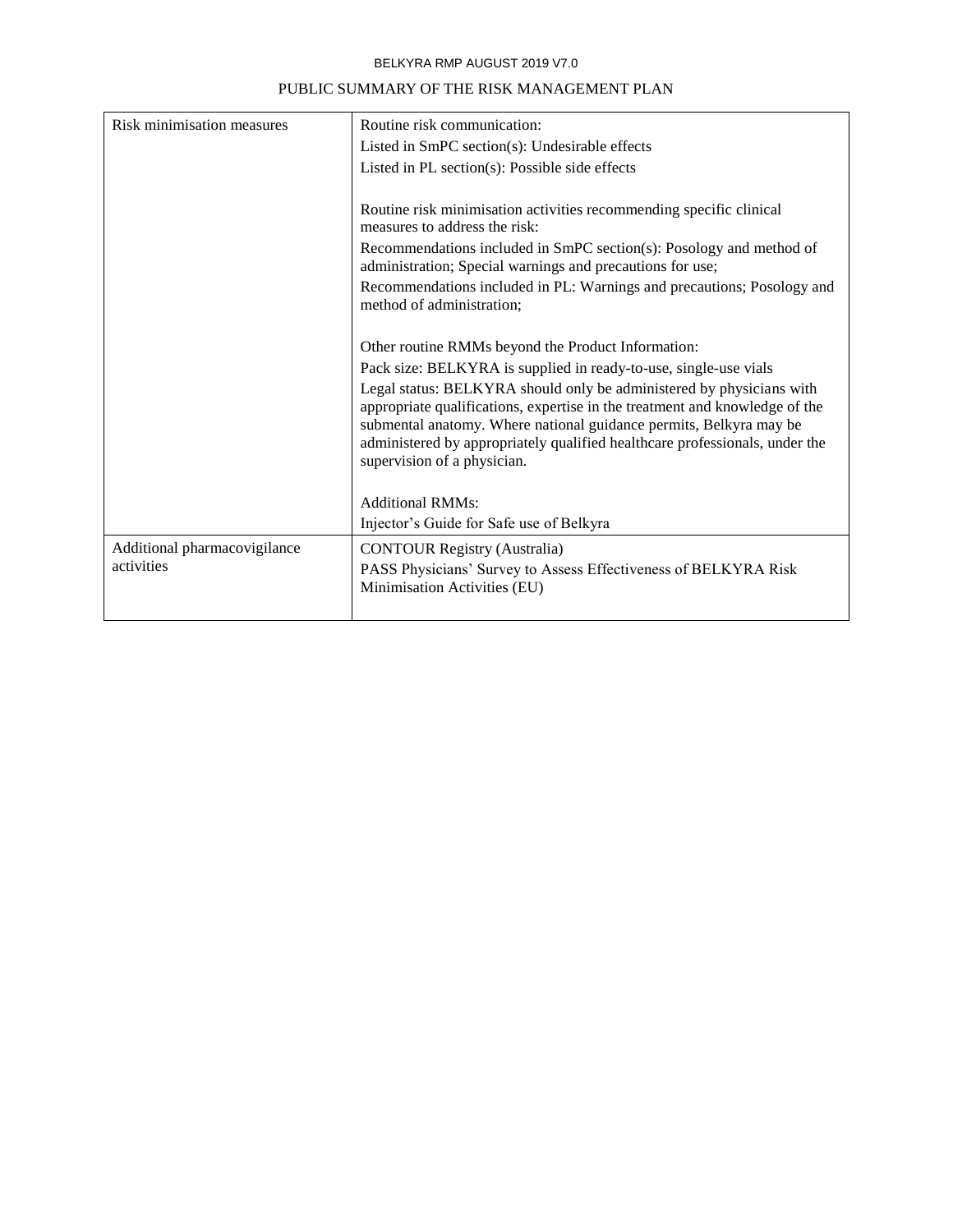| Risk minimisation measures                 | Routine risk communication:                                                                                                                                                                                                                                                                                                             |
|--------------------------------------------|-----------------------------------------------------------------------------------------------------------------------------------------------------------------------------------------------------------------------------------------------------------------------------------------------------------------------------------------|
|                                            | Listed in SmPC section(s): Undesirable effects                                                                                                                                                                                                                                                                                          |
|                                            | Listed in PL section(s): Possible side effects                                                                                                                                                                                                                                                                                          |
|                                            |                                                                                                                                                                                                                                                                                                                                         |
|                                            | Routine risk minimisation activities recommending specific clinical<br>measures to address the risk:                                                                                                                                                                                                                                    |
|                                            | Recommendations included in SmPC section(s): Posology and method of<br>administration; Special warnings and precautions for use;                                                                                                                                                                                                        |
|                                            | Recommendations included in PL: Warnings and precautions; Posology and<br>method of administration;                                                                                                                                                                                                                                     |
|                                            | Other routine RMMs beyond the Product Information:                                                                                                                                                                                                                                                                                      |
|                                            | Pack size: BELKYRA is supplied in ready-to-use, single-use vials                                                                                                                                                                                                                                                                        |
|                                            | Legal status: BELKYRA should only be administered by physicians with<br>appropriate qualifications, expertise in the treatment and knowledge of the<br>submental anatomy. Where national guidance permits, Belkyra may be<br>administered by appropriately qualified healthcare professionals, under the<br>supervision of a physician. |
|                                            | <b>Additional RMMs:</b>                                                                                                                                                                                                                                                                                                                 |
|                                            | Injector's Guide for Safe use of Belkyra                                                                                                                                                                                                                                                                                                |
|                                            |                                                                                                                                                                                                                                                                                                                                         |
| Additional pharmacovigilance<br>activities | <b>CONTOUR Registry (Australia)</b>                                                                                                                                                                                                                                                                                                     |
|                                            | PASS Physicians' Survey to Assess Effectiveness of BELKYRA Risk<br>Minimisation Activities (EU)                                                                                                                                                                                                                                         |
|                                            |                                                                                                                                                                                                                                                                                                                                         |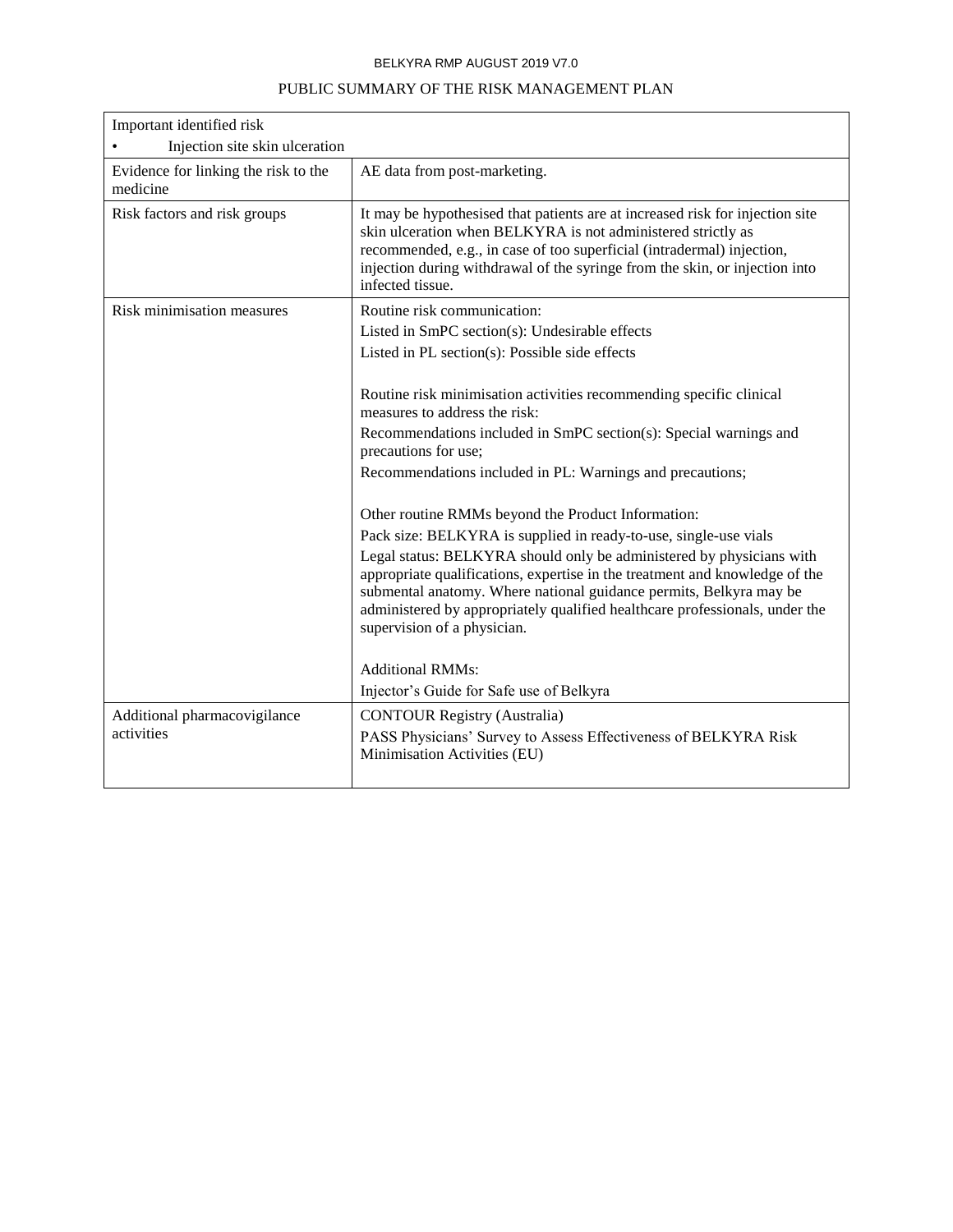| Important identified risk                        |                                                                                                                                                                                                                                                                                                                                                                                                             |
|--------------------------------------------------|-------------------------------------------------------------------------------------------------------------------------------------------------------------------------------------------------------------------------------------------------------------------------------------------------------------------------------------------------------------------------------------------------------------|
| Injection site skin ulceration                   |                                                                                                                                                                                                                                                                                                                                                                                                             |
| Evidence for linking the risk to the<br>medicine | AE data from post-marketing.                                                                                                                                                                                                                                                                                                                                                                                |
| Risk factors and risk groups                     | It may be hypothesised that patients are at increased risk for injection site<br>skin ulceration when BELKYRA is not administered strictly as<br>recommended, e.g., in case of too superficial (intradermal) injection,<br>injection during withdrawal of the syringe from the skin, or injection into<br>infected tissue.                                                                                  |
| Risk minimisation measures                       | Routine risk communication:<br>Listed in SmPC section(s): Undesirable effects<br>Listed in PL section(s): Possible side effects                                                                                                                                                                                                                                                                             |
|                                                  | Routine risk minimisation activities recommending specific clinical<br>measures to address the risk:<br>Recommendations included in SmPC section(s): Special warnings and<br>precautions for use;<br>Recommendations included in PL: Warnings and precautions;                                                                                                                                              |
|                                                  | Other routine RMMs beyond the Product Information:                                                                                                                                                                                                                                                                                                                                                          |
|                                                  | Pack size: BELKYRA is supplied in ready-to-use, single-use vials<br>Legal status: BELKYRA should only be administered by physicians with<br>appropriate qualifications, expertise in the treatment and knowledge of the<br>submental anatomy. Where national guidance permits, Belkyra may be<br>administered by appropriately qualified healthcare professionals, under the<br>supervision of a physician. |
|                                                  | <b>Additional RMMs:</b><br>Injector's Guide for Safe use of Belkyra                                                                                                                                                                                                                                                                                                                                         |
| Additional pharmacovigilance<br>activities       | <b>CONTOUR Registry (Australia)</b><br>PASS Physicians' Survey to Assess Effectiveness of BELKYRA Risk<br>Minimisation Activities (EU)                                                                                                                                                                                                                                                                      |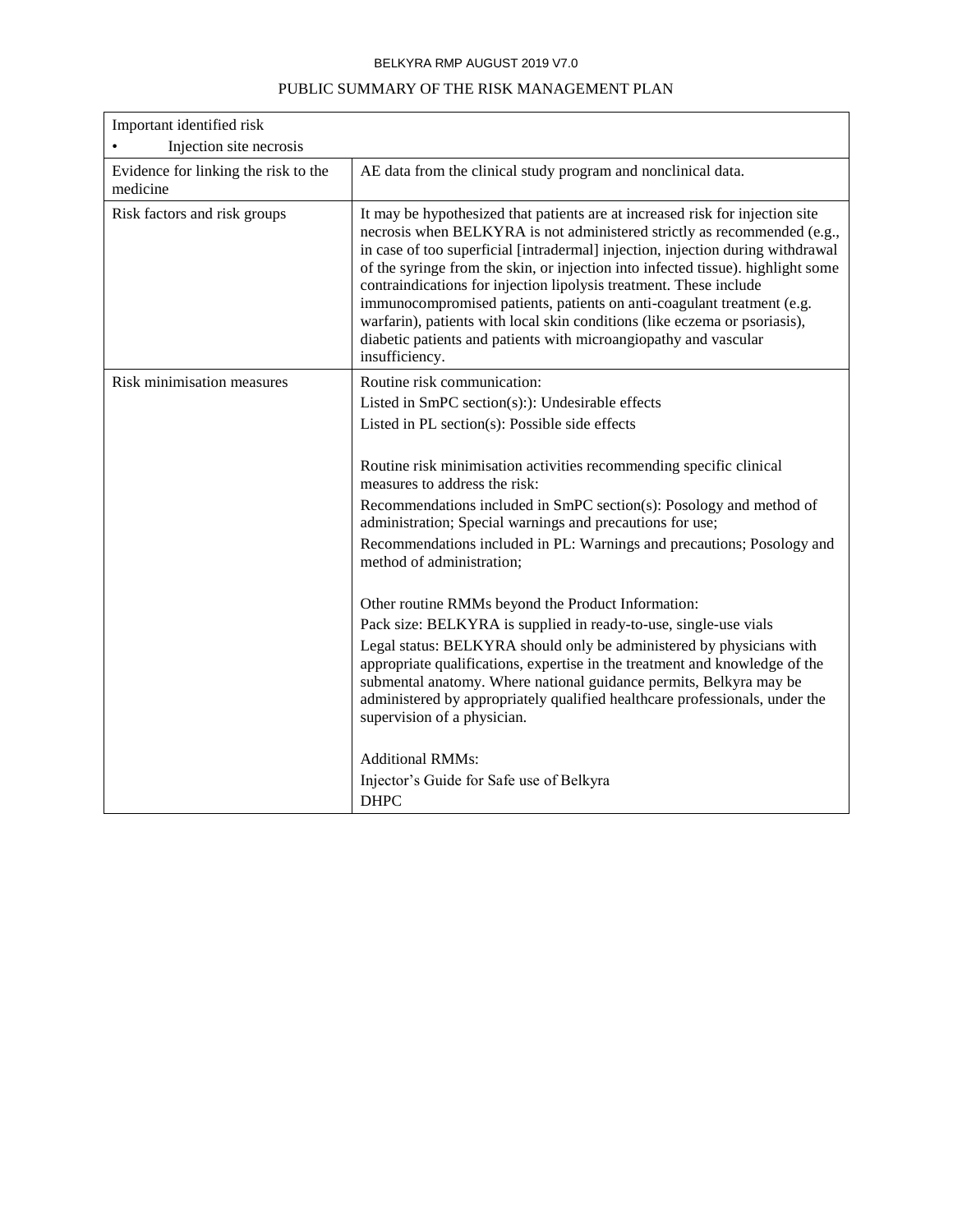| Important identified risk<br>Injection site necrosis |                                                                                                                                                                                                                                                                                                                                                                                                                                                                                                                                                                                                                                                      |
|------------------------------------------------------|------------------------------------------------------------------------------------------------------------------------------------------------------------------------------------------------------------------------------------------------------------------------------------------------------------------------------------------------------------------------------------------------------------------------------------------------------------------------------------------------------------------------------------------------------------------------------------------------------------------------------------------------------|
| Evidence for linking the risk to the<br>medicine     | AE data from the clinical study program and nonclinical data.                                                                                                                                                                                                                                                                                                                                                                                                                                                                                                                                                                                        |
| Risk factors and risk groups                         | It may be hypothesized that patients are at increased risk for injection site<br>necrosis when BELKYRA is not administered strictly as recommended (e.g.,<br>in case of too superficial [intradermal] injection, injection during withdrawal<br>of the syringe from the skin, or injection into infected tissue). highlight some<br>contraindications for injection lipolysis treatment. These include<br>immunocompromised patients, patients on anti-coagulant treatment (e.g.<br>warfarin), patients with local skin conditions (like eczema or psoriasis),<br>diabetic patients and patients with microangiopathy and vascular<br>insufficiency. |
| Risk minimisation measures                           | Routine risk communication:                                                                                                                                                                                                                                                                                                                                                                                                                                                                                                                                                                                                                          |
|                                                      | Listed in SmPC section(s):): Undesirable effects                                                                                                                                                                                                                                                                                                                                                                                                                                                                                                                                                                                                     |
|                                                      | Listed in PL section(s): Possible side effects                                                                                                                                                                                                                                                                                                                                                                                                                                                                                                                                                                                                       |
|                                                      | Routine risk minimisation activities recommending specific clinical<br>measures to address the risk:<br>Recommendations included in SmPC section(s): Posology and method of<br>administration; Special warnings and precautions for use;<br>Recommendations included in PL: Warnings and precautions; Posology and<br>method of administration;                                                                                                                                                                                                                                                                                                      |
|                                                      | Other routine RMMs beyond the Product Information:<br>Pack size: BELKYRA is supplied in ready-to-use, single-use vials<br>Legal status: BELKYRA should only be administered by physicians with<br>appropriate qualifications, expertise in the treatment and knowledge of the<br>submental anatomy. Where national guidance permits, Belkyra may be<br>administered by appropriately qualified healthcare professionals, under the<br>supervision of a physician.<br><b>Additional RMMs:</b>                                                                                                                                                         |
|                                                      | Injector's Guide for Safe use of Belkyra<br><b>DHPC</b>                                                                                                                                                                                                                                                                                                                                                                                                                                                                                                                                                                                              |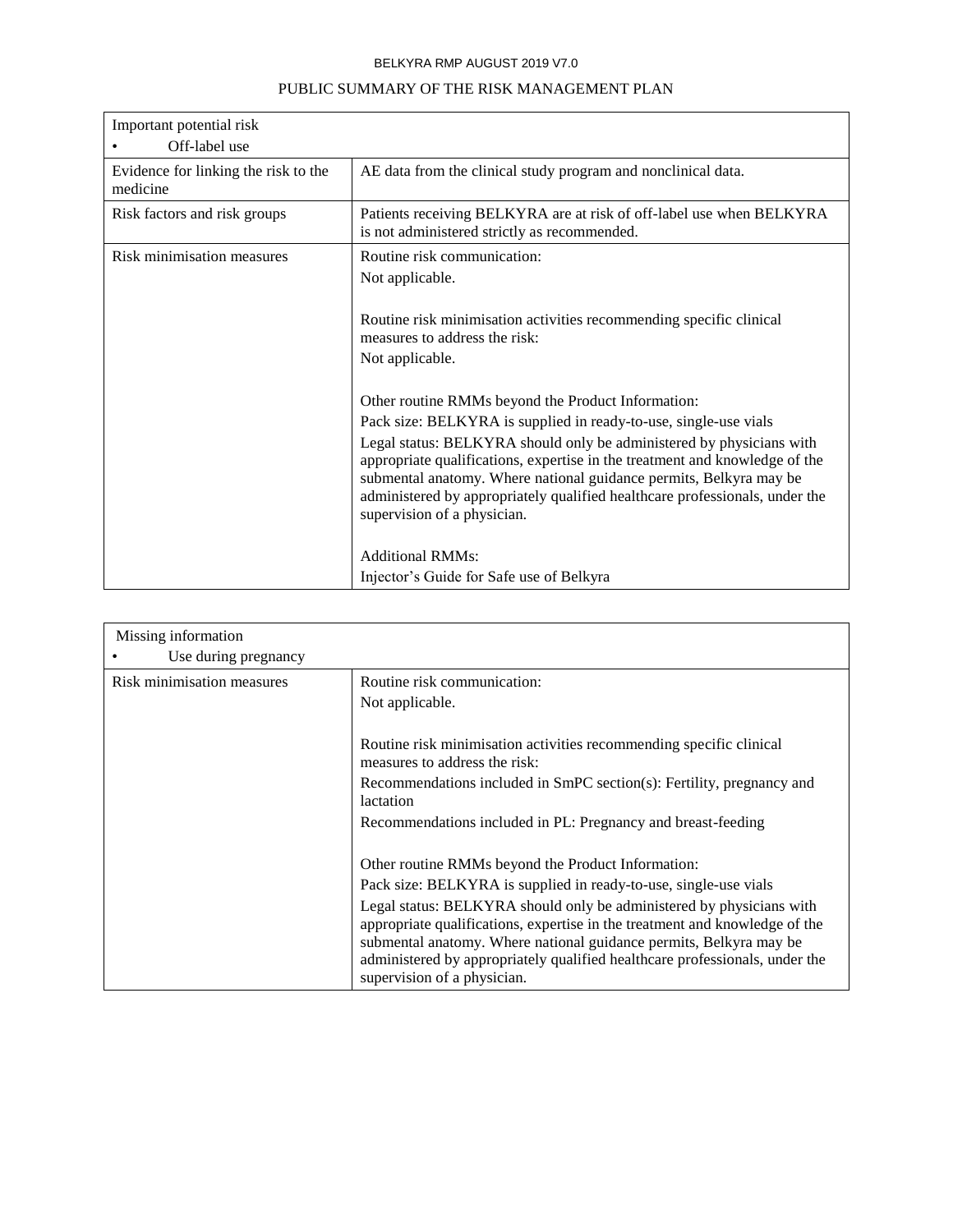| Important potential risk                         |                                                                                                                                                                                                                                                                                                                                         |
|--------------------------------------------------|-----------------------------------------------------------------------------------------------------------------------------------------------------------------------------------------------------------------------------------------------------------------------------------------------------------------------------------------|
| Off-label use                                    |                                                                                                                                                                                                                                                                                                                                         |
| Evidence for linking the risk to the<br>medicine | AE data from the clinical study program and nonclinical data.                                                                                                                                                                                                                                                                           |
| Risk factors and risk groups                     | Patients receiving BELKYRA are at risk of off-label use when BELKYRA<br>is not administered strictly as recommended.                                                                                                                                                                                                                    |
| Risk minimisation measures                       | Routine risk communication:                                                                                                                                                                                                                                                                                                             |
|                                                  | Not applicable.                                                                                                                                                                                                                                                                                                                         |
|                                                  |                                                                                                                                                                                                                                                                                                                                         |
|                                                  | Routine risk minimisation activities recommending specific clinical                                                                                                                                                                                                                                                                     |
|                                                  | measures to address the risk:                                                                                                                                                                                                                                                                                                           |
|                                                  | Not applicable.                                                                                                                                                                                                                                                                                                                         |
|                                                  |                                                                                                                                                                                                                                                                                                                                         |
|                                                  | Other routine RMMs beyond the Product Information:                                                                                                                                                                                                                                                                                      |
|                                                  | Pack size: BELKYRA is supplied in ready-to-use, single-use vials                                                                                                                                                                                                                                                                        |
|                                                  | Legal status: BELKYRA should only be administered by physicians with<br>appropriate qualifications, expertise in the treatment and knowledge of the<br>submental anatomy. Where national guidance permits, Belkyra may be<br>administered by appropriately qualified healthcare professionals, under the<br>supervision of a physician. |
|                                                  |                                                                                                                                                                                                                                                                                                                                         |
|                                                  | <b>Additional RMMs:</b>                                                                                                                                                                                                                                                                                                                 |
|                                                  | Injector's Guide for Safe use of Belkyra                                                                                                                                                                                                                                                                                                |

| Missing information        |                                                                                                                                                                                                                                                                                                                                         |
|----------------------------|-----------------------------------------------------------------------------------------------------------------------------------------------------------------------------------------------------------------------------------------------------------------------------------------------------------------------------------------|
| Use during pregnancy       |                                                                                                                                                                                                                                                                                                                                         |
| Risk minimisation measures | Routine risk communication:                                                                                                                                                                                                                                                                                                             |
|                            | Not applicable.                                                                                                                                                                                                                                                                                                                         |
|                            |                                                                                                                                                                                                                                                                                                                                         |
|                            | Routine risk minimisation activities recommending specific clinical<br>measures to address the risk:                                                                                                                                                                                                                                    |
|                            | Recommendations included in SmPC section(s): Fertility, pregnancy and<br>lactation                                                                                                                                                                                                                                                      |
|                            | Recommendations included in PL: Pregnancy and breast-feeding                                                                                                                                                                                                                                                                            |
|                            | Other routine RMMs beyond the Product Information:                                                                                                                                                                                                                                                                                      |
|                            | Pack size: BELKYRA is supplied in ready-to-use, single-use vials                                                                                                                                                                                                                                                                        |
|                            | Legal status: BELKYRA should only be administered by physicians with<br>appropriate qualifications, expertise in the treatment and knowledge of the<br>submental anatomy. Where national guidance permits, Belkyra may be<br>administered by appropriately qualified healthcare professionals, under the<br>supervision of a physician. |